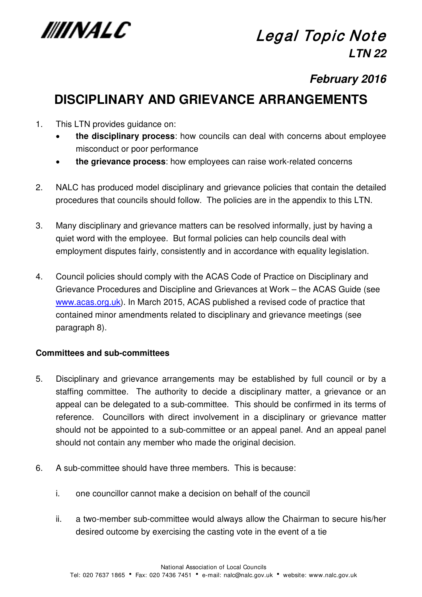

# **Legal Topic Note LTN 22**

## **February 2016**

## **DISCIPLINARY AND GRIEVANCE ARRANGEMENTS**

- 1. This LTN provides guidance on:
	- **the disciplinary process**: how councils can deal with concerns about employee misconduct or poor performance
	- **the grievance process**: how employees can raise work-related concerns
- 2. NALC has produced model disciplinary and grievance policies that contain the detailed procedures that councils should follow. The policies are in the appendix to this LTN.
- 3. Many disciplinary and grievance matters can be resolved informally, just by having a quiet word with the employee. But formal policies can help councils deal with employment disputes fairly, consistently and in accordance with equality legislation.
- 4. Council policies should comply with the ACAS Code of Practice on Disciplinary and Grievance Procedures and Discipline and Grievances at Work – the ACAS Guide (see [www.acas.org.uk\)](http://www.acas.org.uk/). In March 2015, ACAS published a revised code of practice that contained minor amendments related to disciplinary and grievance meetings (see paragraph 8).

## **Committees and sub-committees**

- 5. Disciplinary and grievance arrangements may be established by full council or by a staffing committee. The authority to decide a disciplinary matter, a grievance or an appeal can be delegated to a sub-committee. This should be confirmed in its terms of reference. Councillors with direct involvement in a disciplinary or grievance matter should not be appointed to a sub-committee or an appeal panel. And an appeal panel should not contain any member who made the original decision.
- 6. A sub-committee should have three members. This is because:
	- i. one councillor cannot make a decision on behalf of the council
	- ii. a two-member sub-committee would always allow the Chairman to secure his/her desired outcome by exercising the casting vote in the event of a tie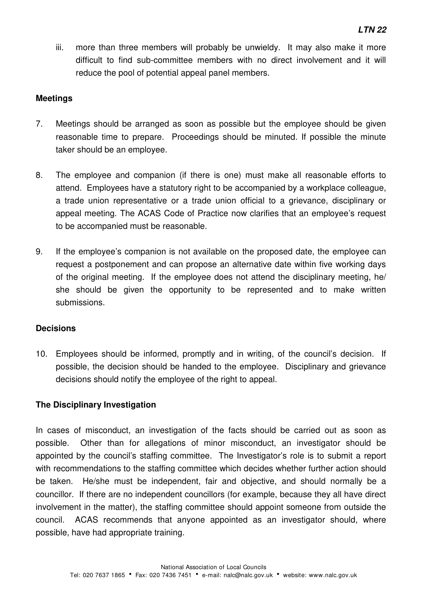iii. more than three members will probably be unwieldy. It may also make it more difficult to find sub-committee members with no direct involvement and it will reduce the pool of potential appeal panel members.

## **Meetings**

- 7. Meetings should be arranged as soon as possible but the employee should be given reasonable time to prepare. Proceedings should be minuted. If possible the minute taker should be an employee.
- 8. The employee and companion (if there is one) must make all reasonable efforts to attend. Employees have a statutory right to be accompanied by a workplace colleague, a trade union representative or a trade union official to a grievance, disciplinary or appeal meeting. The ACAS Code of Practice now clarifies that an employee's request to be accompanied must be reasonable.
- 9. If the employee's companion is not available on the proposed date, the employee can request a postponement and can propose an alternative date within five working days of the original meeting. If the employee does not attend the disciplinary meeting, he/ she should be given the opportunity to be represented and to make written submissions.

## **Decisions**

10. Employees should be informed, promptly and in writing, of the council's decision. If possible, the decision should be handed to the employee. Disciplinary and grievance decisions should notify the employee of the right to appeal.

## **The Disciplinary Investigation**

In cases of misconduct, an investigation of the facts should be carried out as soon as possible. Other than for allegations of minor misconduct, an investigator should be appointed by the council's staffing committee. The Investigator's role is to submit a report with recommendations to the staffing committee which decides whether further action should be taken. He/she must be independent, fair and objective, and should normally be a councillor. If there are no independent councillors (for example, because they all have direct involvement in the matter), the staffing committee should appoint someone from outside the council. ACAS recommends that anyone appointed as an investigator should, where possible, have had appropriate training.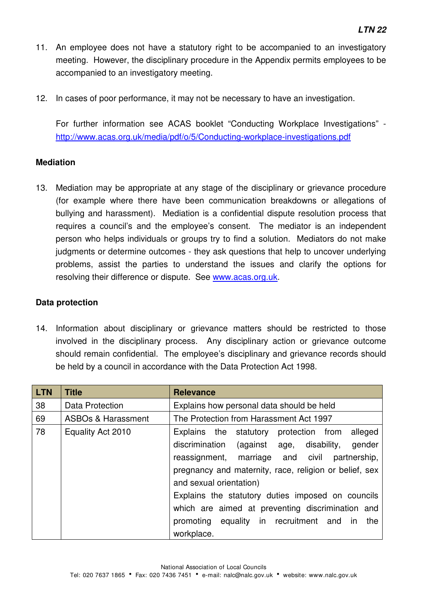- 11. An employee does not have a statutory right to be accompanied to an investigatory meeting. However, the disciplinary procedure in the Appendix permits employees to be accompanied to an investigatory meeting.
- 12. In cases of poor performance, it may not be necessary to have an investigation.

For further information see ACAS booklet "Conducting Workplace Investigations" <http://www.acas.org.uk/media/pdf/o/5/Conducting-workplace-investigations.pdf>

#### **Mediation**

13. Mediation may be appropriate at any stage of the disciplinary or grievance procedure (for example where there have been communication breakdowns or allegations of bullying and harassment). Mediation is a confidential dispute resolution process that requires a council's and the employee's consent. The mediator is an independent person who helps individuals or groups try to find a solution. Mediators do not make judgments or determine outcomes - they ask questions that help to uncover underlying problems, assist the parties to understand the issues and clarify the options for resolving their difference or dispute. See [www.acas.org.uk.](http://www.acas.org.uk/)

#### **Data protection**

14. Information about disciplinary or grievance matters should be restricted to those involved in the disciplinary process. Any disciplinary action or grievance outcome should remain confidential. The employee's disciplinary and grievance records should be held by a council in accordance with the Data Protection Act 1998.

| <b>LTN</b> | <b>Title</b>                  | <b>Relevance</b>                                                                  |
|------------|-------------------------------|-----------------------------------------------------------------------------------|
| 38         | <b>Data Protection</b>        | Explains how personal data should be held                                         |
| 69         | <b>ASBOs &amp; Harassment</b> | The Protection from Harassment Act 1997                                           |
| 78         | Equality Act 2010             | alleged<br>Explains the statutory<br>protection from                              |
|            |                               | discrimination<br>disability,<br>(against age,<br>gender                          |
|            |                               | reassignment, marriage and civil<br>partnership,                                  |
|            |                               | pregnancy and maternity, race, religion or belief, sex<br>and sexual orientation) |
|            |                               | Explains the statutory duties imposed on councils                                 |
|            |                               | which are aimed at preventing discrimination and                                  |
|            |                               | promoting equality in recruitment and<br>the<br>ın                                |
|            |                               | workplace.                                                                        |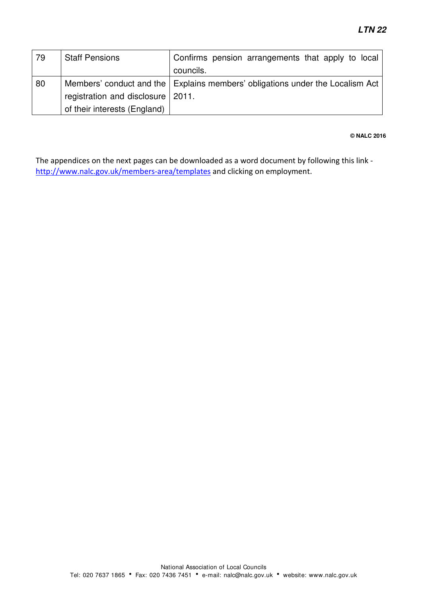| 79 | <b>Staff Pensions</b>               | Confirms pension arrangements that apply to local                               |
|----|-------------------------------------|---------------------------------------------------------------------------------|
|    |                                     | councils.                                                                       |
| 80 |                                     | Members' conduct and the   Explains members' obligations under the Localism Act |
|    | registration and disclosure   2011. |                                                                                 |
|    | of their interests (England)        |                                                                                 |

#### **© NALC 2016**

The appendices on the next pages can be downloaded as a word document by following this link <http://www.nalc.gov.uk/members-area/templates> and clicking on employment.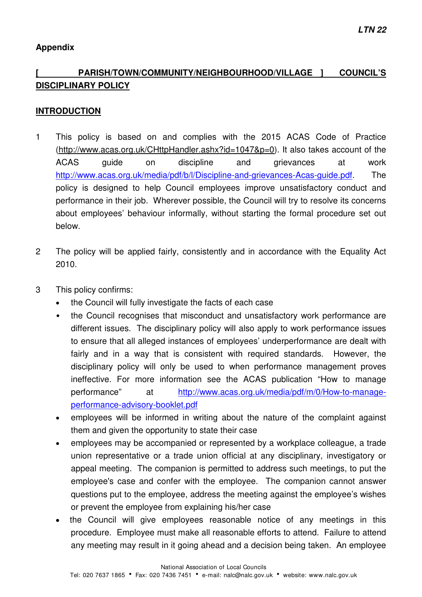## **Appendix**

## **[ PARISH/TOWN/COMMUNITY/NEIGHBOURHOOD/VILLAGE ] COUNCIL'S DISCIPLINARY POLICY**

#### **INTRODUCTION**

- 1 This policy is based on and complies with the 2015 ACAS Code of Practice [\(http://www.acas.org.uk/CHttpHandler.ashx?id=1047&p=0\)](http://www.acas.org.uk/CHttpHandler.ashx?id=1047&p=0). It also takes account of the ACAS guide on discipline and grievances at work [http://www.acas.org.uk/media/pdf/b/l/Discipline-and-grievances-Acas-guide.pdf.](http://www.acas.org.uk/media/pdf/b/l/Discipline-and-grievances-Acas-guide.pdf) The policy is designed to help Council employees improve unsatisfactory conduct and performance in their job. Wherever possible, the Council will try to resolve its concerns about employees' behaviour informally, without starting the formal procedure set out below.
- 2 The policy will be applied fairly, consistently and in accordance with the Equality Act 2010.
- 3 This policy confirms:
	- the Council will fully investigate the facts of each case
	- the Council recognises that misconduct and unsatisfactory work performance are different issues. The disciplinary policy will also apply to work performance issues to ensure that all alleged instances of employees' underperformance are dealt with fairly and in a way that is consistent with required standards. However, the disciplinary policy will only be used to when performance management proves ineffective. For more information see the ACAS publication "How to manage performance" at [http://www.acas.org.uk/media/pdf/m/0/How-to-manage](http://www.acas.org.uk/media/pdf/m/0/How-to-manage-performance-advisory-booklet.pdf)[performance-advisory-booklet.pdf](http://www.acas.org.uk/media/pdf/m/0/How-to-manage-performance-advisory-booklet.pdf)
	- employees will be informed in writing about the nature of the complaint against them and given the opportunity to state their case
	- employees may be accompanied or represented by a workplace colleague, a trade union representative or a trade union official at any disciplinary, investigatory or appeal meeting. The companion is permitted to address such meetings, to put the employee's case and confer with the employee. The companion cannot answer questions put to the employee, address the meeting against the employee's wishes or prevent the employee from explaining his/her case
	- the Council will give employees reasonable notice of any meetings in this procedure. Employee must make all reasonable efforts to attend. Failure to attend any meeting may result in it going ahead and a decision being taken. An employee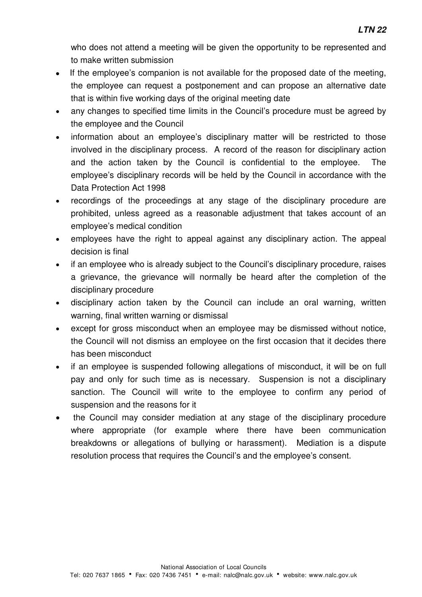who does not attend a meeting will be given the opportunity to be represented and to make written submission

- If the employee's companion is not available for the proposed date of the meeting, the employee can request a postponement and can propose an alternative date that is within five working days of the original meeting date
- any changes to specified time limits in the Council's procedure must be agreed by the employee and the Council
- information about an employee's disciplinary matter will be restricted to those involved in the disciplinary process. A record of the reason for disciplinary action and the action taken by the Council is confidential to the employee. The employee's disciplinary records will be held by the Council in accordance with the Data Protection Act 1998
- recordings of the proceedings at any stage of the disciplinary procedure are prohibited, unless agreed as a reasonable adjustment that takes account of an employee's medical condition
- employees have the right to appeal against any disciplinary action. The appeal decision is final
- if an employee who is already subject to the Council's disciplinary procedure, raises a grievance, the grievance will normally be heard after the completion of the disciplinary procedure
- disciplinary action taken by the Council can include an oral warning, written warning, final written warning or dismissal
- except for gross misconduct when an employee may be dismissed without notice, the Council will not dismiss an employee on the first occasion that it decides there has been misconduct
- if an employee is suspended following allegations of misconduct, it will be on full pay and only for such time as is necessary. Suspension is not a disciplinary sanction. The Council will write to the employee to confirm any period of suspension and the reasons for it
- the Council may consider mediation at any stage of the disciplinary procedure where appropriate (for example where there have been communication breakdowns or allegations of bullying or harassment). Mediation is a dispute resolution process that requires the Council's and the employee's consent.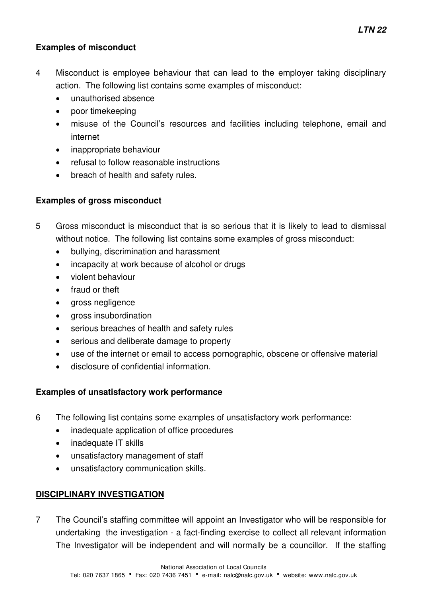## **Examples of misconduct**

- 4 Misconduct is employee behaviour that can lead to the employer taking disciplinary action. The following list contains some examples of misconduct:
	- unauthorised absence
	- poor timekeeping
	- misuse of the Council's resources and facilities including telephone, email and internet
	- inappropriate behaviour
	- refusal to follow reasonable instructions
	- breach of health and safety rules.

## **Examples of gross misconduct**

- 5 Gross misconduct is misconduct that is so serious that it is likely to lead to dismissal without notice. The following list contains some examples of gross misconduct:
	- bullying, discrimination and harassment
	- incapacity at work because of alcohol or drugs
	- violent behaviour
	- fraud or theft
	- gross negligence
	- gross insubordination
	- serious breaches of health and safety rules
	- serious and deliberate damage to property
	- use of the internet or email to access pornographic, obscene or offensive material
	- disclosure of confidential information.

## **Examples of unsatisfactory work performance**

- 6 The following list contains some examples of unsatisfactory work performance:
	- inadequate application of office procedures
	- inadequate IT skills
	- unsatisfactory management of staff
	- unsatisfactory communication skills.

## **DISCIPLINARY INVESTIGATION**

7 The Council's staffing committee will appoint an Investigator who will be responsible for undertaking the investigation - a fact-finding exercise to collect all relevant information The Investigator will be independent and will normally be a councillor. If the staffing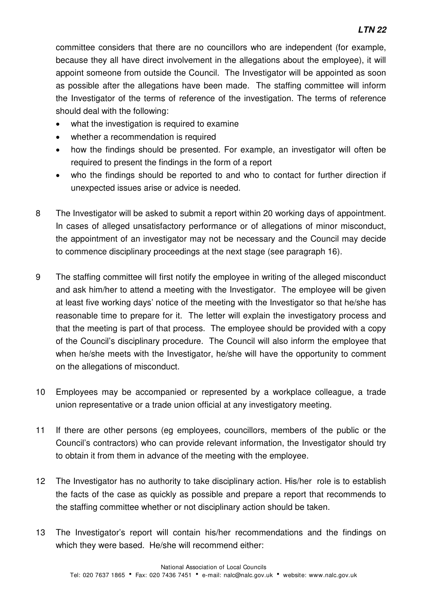committee considers that there are no councillors who are independent (for example, because they all have direct involvement in the allegations about the employee), it will appoint someone from outside the Council. The Investigator will be appointed as soon as possible after the allegations have been made. The staffing committee will inform the Investigator of the terms of reference of the investigation. The terms of reference should deal with the following:

- what the investigation is required to examine
- whether a recommendation is required
- how the findings should be presented. For example, an investigator will often be required to present the findings in the form of a report
- who the findings should be reported to and who to contact for further direction if unexpected issues arise or advice is needed.
- 8 The Investigator will be asked to submit a report within 20 working days of appointment. In cases of alleged unsatisfactory performance or of allegations of minor misconduct, the appointment of an investigator may not be necessary and the Council may decide to commence disciplinary proceedings at the next stage (see paragraph 16).
- 9 The staffing committee will first notify the employee in writing of the alleged misconduct and ask him/her to attend a meeting with the Investigator. The employee will be given at least five working days' notice of the meeting with the Investigator so that he/she has reasonable time to prepare for it. The letter will explain the investigatory process and that the meeting is part of that process. The employee should be provided with a copy of the Council's disciplinary procedure. The Council will also inform the employee that when he/she meets with the Investigator, he/she will have the opportunity to comment on the allegations of misconduct.
- 10 Employees may be accompanied or represented by a workplace colleague, a trade union representative or a trade union official at any investigatory meeting.
- 11 If there are other persons (eg employees, councillors, members of the public or the Council's contractors) who can provide relevant information, the Investigator should try to obtain it from them in advance of the meeting with the employee.
- 12 The Investigator has no authority to take disciplinary action. His/her role is to establish the facts of the case as quickly as possible and prepare a report that recommends to the staffing committee whether or not disciplinary action should be taken.
- 13 The Investigator's report will contain his/her recommendations and the findings on which they were based. He/she will recommend either: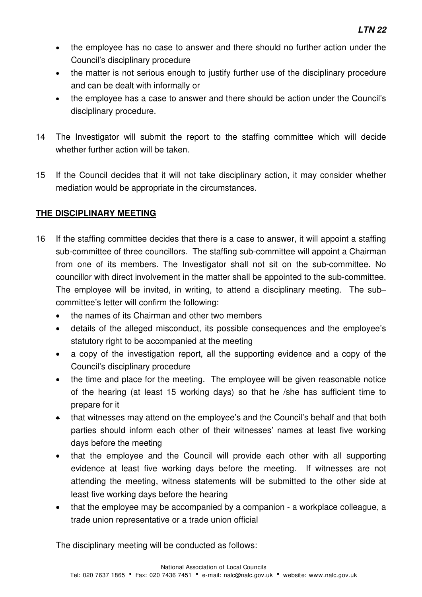- the employee has no case to answer and there should no further action under the Council's disciplinary procedure
- the matter is not serious enough to justify further use of the disciplinary procedure and can be dealt with informally or
- the employee has a case to answer and there should be action under the Council's disciplinary procedure.
- 14 The Investigator will submit the report to the staffing committee which will decide whether further action will be taken.
- 15 If the Council decides that it will not take disciplinary action, it may consider whether mediation would be appropriate in the circumstances.

## **THE DISCIPLINARY MEETING**

- 16 If the staffing committee decides that there is a case to answer, it will appoint a staffing sub-committee of three councillors. The staffing sub-committee will appoint a Chairman from one of its members. The Investigator shall not sit on the sub-committee. No councillor with direct involvement in the matter shall be appointed to the sub-committee. The employee will be invited, in writing, to attend a disciplinary meeting. The sub– committee's letter will confirm the following:
	- the names of its Chairman and other two members
	- details of the alleged misconduct, its possible consequences and the employee's statutory right to be accompanied at the meeting
	- a copy of the investigation report, all the supporting evidence and a copy of the Council's disciplinary procedure
	- the time and place for the meeting. The employee will be given reasonable notice of the hearing (at least 15 working days) so that he /she has sufficient time to prepare for it
	- that witnesses may attend on the employee's and the Council's behalf and that both parties should inform each other of their witnesses' names at least five working days before the meeting
	- that the employee and the Council will provide each other with all supporting evidence at least five working days before the meeting. If witnesses are not attending the meeting, witness statements will be submitted to the other side at least five working days before the hearing
	- that the employee may be accompanied by a companion a workplace colleague, a trade union representative or a trade union official

The disciplinary meeting will be conducted as follows: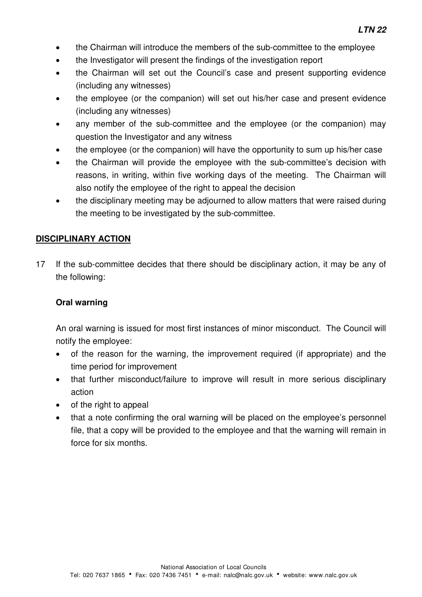- the Chairman will introduce the members of the sub-committee to the employee
- the Investigator will present the findings of the investigation report
- the Chairman will set out the Council's case and present supporting evidence (including any witnesses)
- the employee (or the companion) will set out his/her case and present evidence (including any witnesses)
- any member of the sub-committee and the employee (or the companion) may question the Investigator and any witness
- the employee (or the companion) will have the opportunity to sum up his/her case
- the Chairman will provide the employee with the sub-committee's decision with reasons, in writing, within five working days of the meeting. The Chairman will also notify the employee of the right to appeal the decision
- the disciplinary meeting may be adjourned to allow matters that were raised during the meeting to be investigated by the sub-committee.

#### **DISCIPLINARY ACTION**

17 If the sub-committee decides that there should be disciplinary action, it may be any of the following:

#### **Oral warning**

An oral warning is issued for most first instances of minor misconduct. The Council will notify the employee:

- of the reason for the warning, the improvement required (if appropriate) and the time period for improvement
- that further misconduct/failure to improve will result in more serious disciplinary action
- of the right to appeal
- that a note confirming the oral warning will be placed on the employee's personnel file, that a copy will be provided to the employee and that the warning will remain in force for six months.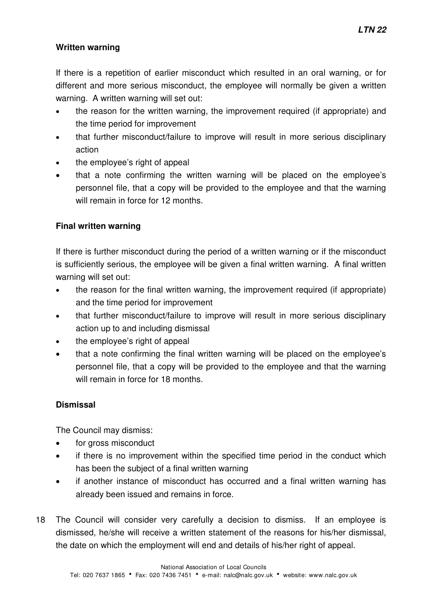## **Written warning**

If there is a repetition of earlier misconduct which resulted in an oral warning, or for different and more serious misconduct, the employee will normally be given a written warning. A written warning will set out:

- the reason for the written warning, the improvement required (if appropriate) and the time period for improvement
- that further misconduct/failure to improve will result in more serious disciplinary action
- the employee's right of appeal
- that a note confirming the written warning will be placed on the employee's personnel file, that a copy will be provided to the employee and that the warning will remain in force for 12 months.

## **Final written warning**

If there is further misconduct during the period of a written warning or if the misconduct is sufficiently serious, the employee will be given a final written warning. A final written warning will set out:

- the reason for the final written warning, the improvement required (if appropriate) and the time period for improvement
- that further misconduct/failure to improve will result in more serious disciplinary action up to and including dismissal
- the employee's right of appeal
- that a note confirming the final written warning will be placed on the employee's personnel file, that a copy will be provided to the employee and that the warning will remain in force for 18 months.

## **Dismissal**

The Council may dismiss:

- for gross misconduct
- if there is no improvement within the specified time period in the conduct which has been the subject of a final written warning
- if another instance of misconduct has occurred and a final written warning has already been issued and remains in force.
- 18 The Council will consider very carefully a decision to dismiss. If an employee is dismissed, he/she will receive a written statement of the reasons for his/her dismissal, the date on which the employment will end and details of his/her right of appeal.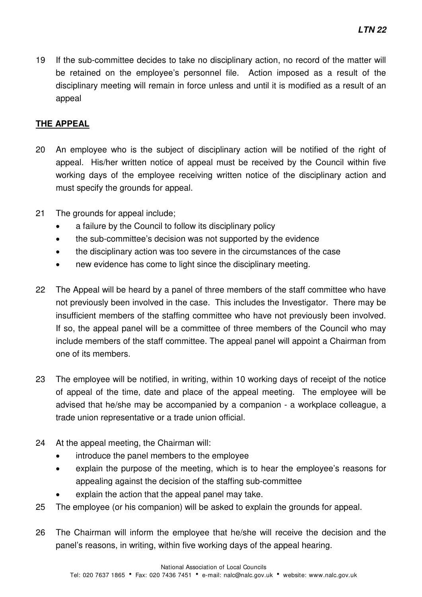19 If the sub-committee decides to take no disciplinary action, no record of the matter will be retained on the employee's personnel file. Action imposed as a result of the disciplinary meeting will remain in force unless and until it is modified as a result of an appeal

## **THE APPEAL**

- 20 An employee who is the subject of disciplinary action will be notified of the right of appeal. His/her written notice of appeal must be received by the Council within five working days of the employee receiving written notice of the disciplinary action and must specify the grounds for appeal.
- 21 The grounds for appeal include;
	- a failure by the Council to follow its disciplinary policy
	- the sub-committee's decision was not supported by the evidence
	- the disciplinary action was too severe in the circumstances of the case
	- new evidence has come to light since the disciplinary meeting.
- 22 The Appeal will be heard by a panel of three members of the staff committee who have not previously been involved in the case. This includes the Investigator. There may be insufficient members of the staffing committee who have not previously been involved. If so, the appeal panel will be a committee of three members of the Council who may include members of the staff committee. The appeal panel will appoint a Chairman from one of its members.
- 23 The employee will be notified, in writing, within 10 working days of receipt of the notice of appeal of the time, date and place of the appeal meeting. The employee will be advised that he/she may be accompanied by a companion - a workplace colleague, a trade union representative or a trade union official.
- 24 At the appeal meeting, the Chairman will:
	- introduce the panel members to the employee
	- explain the purpose of the meeting, which is to hear the employee's reasons for appealing against the decision of the staffing sub-committee
	- explain the action that the appeal panel may take.
- 25 The employee (or his companion) will be asked to explain the grounds for appeal.
- 26 The Chairman will inform the employee that he/she will receive the decision and the panel's reasons, in writing, within five working days of the appeal hearing.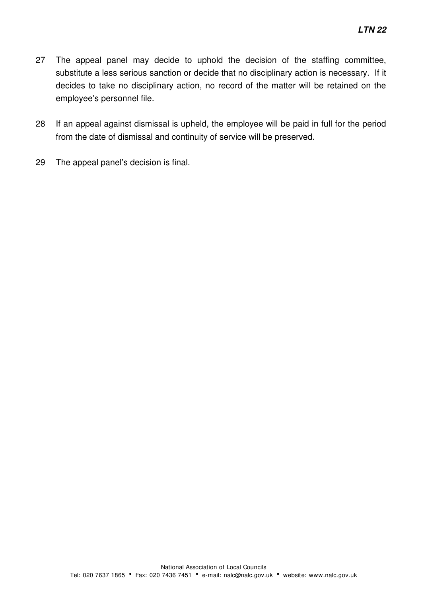- 27 The appeal panel may decide to uphold the decision of the staffing committee, substitute a less serious sanction or decide that no disciplinary action is necessary. If it decides to take no disciplinary action, no record of the matter will be retained on the employee's personnel file.
- 28 If an appeal against dismissal is upheld, the employee will be paid in full for the period from the date of dismissal and continuity of service will be preserved.
- 29 The appeal panel's decision is final.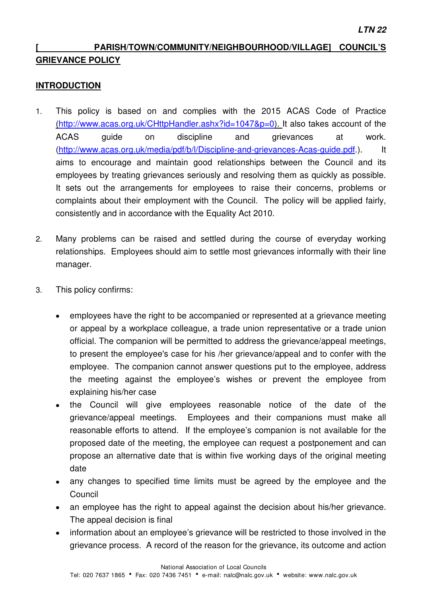## **[ PARISH/TOWN/COMMUNITY/NEIGHBOURHOOD/VILLAGE] COUNCIL'S GRIEVANCE POLICY**

## **INTRODUCTION**

- 1. This policy is based on and complies with the 2015 ACAS Code of Practice [\(http://www.acas.org.uk/CHttpHandler.ashx?id=1047&p=0\)](http://www.acas.org.uk/CHttpHandler.ashx?id=1047&p=0). It also takes account of the ACAS guide on discipline and grievances at work. [\(http://www.acas.org.uk/media/pdf/b/l/Discipline-and-grievances-Acas-guide.pdf.](http://www.acas.org.uk/media/pdf/b/l/Discipline-and-grievances-Acas-guide.pdf)). It aims to encourage and maintain good relationships between the Council and its employees by treating grievances seriously and resolving them as quickly as possible. It sets out the arrangements for employees to raise their concerns, problems or complaints about their employment with the Council. The policy will be applied fairly, consistently and in accordance with the Equality Act 2010.
- 2. Many problems can be raised and settled during the course of everyday working relationships. Employees should aim to settle most grievances informally with their line manager.
- 3. This policy confirms:
	- employees have the right to be accompanied or represented at a grievance meeting or appeal by a workplace colleague, a trade union representative or a trade union official. The companion will be permitted to address the grievance/appeal meetings, to present the employee's case for his /her grievance/appeal and to confer with the employee. The companion cannot answer questions put to the employee, address the meeting against the employee's wishes or prevent the employee from explaining his/her case
	- the Council will give employees reasonable notice of the date of the grievance/appeal meetings. Employees and their companions must make all reasonable efforts to attend. If the employee's companion is not available for the proposed date of the meeting, the employee can request a postponement and can propose an alternative date that is within five working days of the original meeting date
	- any changes to specified time limits must be agreed by the employee and the Council
	- an employee has the right to appeal against the decision about his/her grievance. The appeal decision is final
	- information about an employee's grievance will be restricted to those involved in the grievance process. A record of the reason for the grievance, its outcome and action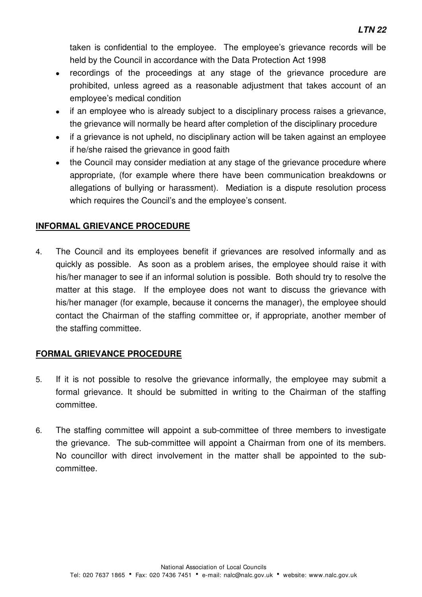taken is confidential to the employee. The employee's grievance records will be held by the Council in accordance with the Data Protection Act 1998

- recordings of the proceedings at any stage of the grievance procedure are prohibited, unless agreed as a reasonable adjustment that takes account of an employee's medical condition
- if an employee who is already subject to a disciplinary process raises a grievance, the grievance will normally be heard after completion of the disciplinary procedure
- if a grievance is not upheld, no disciplinary action will be taken against an employee if he/she raised the grievance in good faith
- the Council may consider mediation at any stage of the grievance procedure where appropriate, (for example where there have been communication breakdowns or allegations of bullying or harassment). Mediation is a dispute resolution process which requires the Council's and the employee's consent.

## **INFORMAL GRIEVANCE PROCEDURE**

4. The Council and its employees benefit if grievances are resolved informally and as quickly as possible. As soon as a problem arises, the employee should raise it with his/her manager to see if an informal solution is possible. Both should try to resolve the matter at this stage. If the employee does not want to discuss the grievance with his/her manager (for example, because it concerns the manager), the employee should contact the Chairman of the staffing committee or, if appropriate, another member of the staffing committee.

## **FORMAL GRIEVANCE PROCEDURE**

- 5. If it is not possible to resolve the grievance informally, the employee may submit a formal grievance. It should be submitted in writing to the Chairman of the staffing committee.
- 6. The staffing committee will appoint a sub-committee of three members to investigate the grievance. The sub-committee will appoint a Chairman from one of its members. No councillor with direct involvement in the matter shall be appointed to the subcommittee.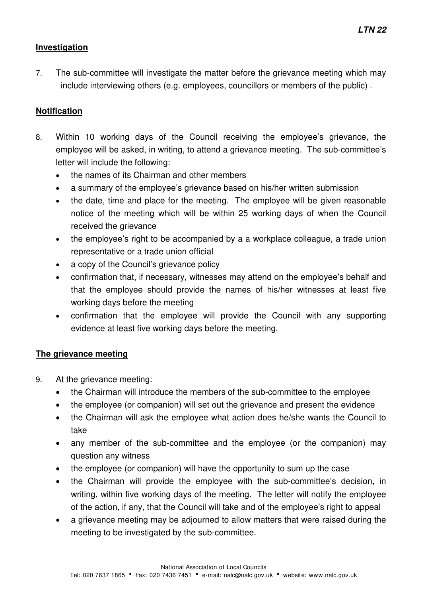## **Investigation**

7. The sub-committee will investigate the matter before the grievance meeting which may include interviewing others (e.g. employees, councillors or members of the public) .

## **Notification**

- 8. Within 10 working days of the Council receiving the employee's grievance, the employee will be asked, in writing, to attend a grievance meeting. The sub-committee's letter will include the following:
	- the names of its Chairman and other members
	- a summary of the employee's grievance based on his/her written submission
	- the date, time and place for the meeting. The employee will be given reasonable notice of the meeting which will be within 25 working days of when the Council received the grievance
	- the employee's right to be accompanied by a a workplace colleague, a trade union representative or a trade union official
	- a copy of the Council's grievance policy
	- confirmation that, if necessary, witnesses may attend on the employee's behalf and that the employee should provide the names of his/her witnesses at least five working days before the meeting
	- confirmation that the employee will provide the Council with any supporting evidence at least five working days before the meeting.

## **The grievance meeting**

- 9. At the grievance meeting:
	- the Chairman will introduce the members of the sub-committee to the employee
	- the employee (or companion) will set out the grievance and present the evidence
	- the Chairman will ask the employee what action does he/she wants the Council to take
	- any member of the sub-committee and the employee (or the companion) may question any witness
	- the employee (or companion) will have the opportunity to sum up the case
	- the Chairman will provide the employee with the sub-committee's decision, in writing, within five working days of the meeting. The letter will notify the employee of the action, if any, that the Council will take and of the employee's right to appeal
	- a grievance meeting may be adjourned to allow matters that were raised during the meeting to be investigated by the sub-committee.